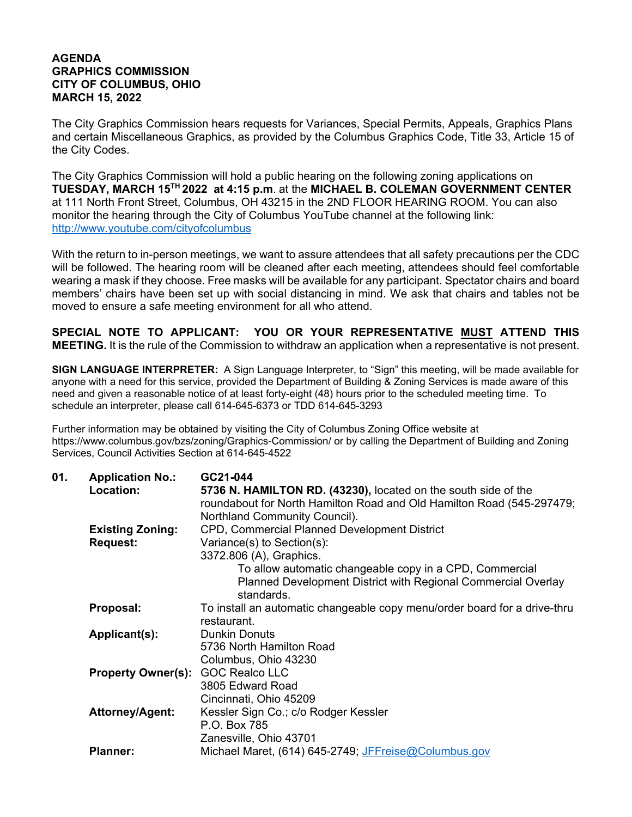## **AGENDA GRAPHICS COMMISSION CITY OF COLUMBUS, OHIO MARCH 15, 2022**

The City Graphics Commission hears requests for Variances, Special Permits, Appeals, Graphics Plans and certain Miscellaneous Graphics, as provided by the Columbus Graphics Code, Title 33, Article 15 of the City Codes.

The City Graphics Commission will hold a public hearing on the following zoning applications on **TUESDAY, MARCH 15TH 2022 at 4:15 p.m**. at the **MICHAEL B. COLEMAN GOVERNMENT CENTER** at 111 North Front Street, Columbus, OH 43215 in the 2ND FLOOR HEARING ROOM. You can also monitor the hearing through the City of Columbus YouTube channel at the following link: http://www.youtube.com/cityofcolumbus

With the return to in-person meetings, we want to assure attendees that all safety precautions per the CDC will be followed. The hearing room will be cleaned after each meeting, attendees should feel comfortable wearing a mask if they choose. Free masks will be available for any participant. Spectator chairs and board members' chairs have been set up with social distancing in mind. We ask that chairs and tables not be moved to ensure a safe meeting environment for all who attend.

**SPECIAL NOTE TO APPLICANT: YOU OR YOUR REPRESENTATIVE MUST ATTEND THIS MEETING.** It is the rule of the Commission to withdraw an application when a representative is not present.

**SIGN LANGUAGE INTERPRETER:** A Sign Language Interpreter, to "Sign" this meeting, will be made available for anyone with a need for this service, provided the Department of Building & Zoning Services is made aware of this need and given a reasonable notice of at least forty-eight (48) hours prior to the scheduled meeting time. To schedule an interpreter, please call 614-645-6373 or TDD 614-645-3293

Further information may be obtained by visiting the City of Columbus Zoning Office website at https://www.columbus.gov/bzs/zoning/Graphics-Commission/ or by calling the Department of Building and Zoning Services, Council Activities Section at 614-645-4522

| 01. | <b>Application No.:</b>                  | GC21-044                                                                  |
|-----|------------------------------------------|---------------------------------------------------------------------------|
|     | Location:                                | 5736 N. HAMILTON RD. (43230), located on the south side of the            |
|     |                                          | roundabout for North Hamilton Road and Old Hamilton Road (545-297479;     |
|     |                                          | Northland Community Council).                                             |
|     | <b>Existing Zoning:</b>                  | <b>CPD, Commercial Planned Development District</b>                       |
|     | <b>Request:</b>                          | Variance(s) to Section(s):                                                |
|     |                                          | 3372.806 (A), Graphics.                                                   |
|     |                                          | To allow automatic changeable copy in a CPD, Commercial                   |
|     |                                          | Planned Development District with Regional Commercial Overlay             |
|     |                                          | standards.                                                                |
|     | Proposal:                                | To install an automatic changeable copy menu/order board for a drive-thru |
|     |                                          | restaurant.                                                               |
|     | Applicant(s):                            | <b>Dunkin Donuts</b>                                                      |
|     |                                          | 5736 North Hamilton Road                                                  |
|     |                                          | Columbus, Ohio 43230                                                      |
|     | <b>Property Owner(s): GOC Realco LLC</b> |                                                                           |
|     |                                          | 3805 Edward Road                                                          |
|     |                                          | Cincinnati, Ohio 45209                                                    |
|     | <b>Attorney/Agent:</b>                   | Kessler Sign Co.; c/o Rodger Kessler                                      |
|     |                                          | P.O. Box 785                                                              |
|     |                                          | Zanesville, Ohio 43701                                                    |
|     | <b>Planner:</b>                          | Michael Maret, (614) 645-2749; JFFreise@Columbus.gov                      |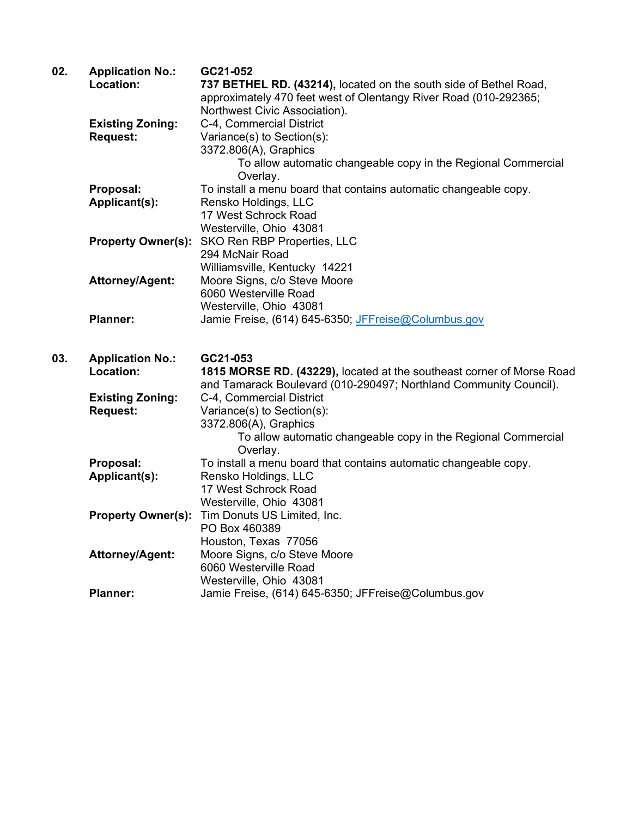| 02. | <b>Application No.:</b>   | GC21-052                                                              |
|-----|---------------------------|-----------------------------------------------------------------------|
|     | Location:                 | 737 BETHEL RD. (43214), located on the south side of Bethel Road,     |
|     |                           | approximately 470 feet west of Olentangy River Road (010-292365;      |
|     |                           | Northwest Civic Association).                                         |
|     | <b>Existing Zoning:</b>   | C-4, Commercial District                                              |
|     | <b>Request:</b>           | Variance(s) to Section(s):                                            |
|     |                           | 3372.806(A), Graphics                                                 |
|     |                           | To allow automatic changeable copy in the Regional Commercial         |
|     |                           | Overlay.                                                              |
|     | Proposal:                 | To install a menu board that contains automatic changeable copy.      |
|     | Applicant(s):             | Rensko Holdings, LLC                                                  |
|     |                           | 17 West Schrock Road                                                  |
|     |                           | Westerville, Ohio 43081                                               |
|     | <b>Property Owner(s):</b> | SKO Ren RBP Properties, LLC                                           |
|     |                           | 294 McNair Road                                                       |
|     |                           | Williamsville, Kentucky 14221                                         |
|     | <b>Attorney/Agent:</b>    | Moore Signs, c/o Steve Moore                                          |
|     |                           | 6060 Westerville Road                                                 |
|     |                           | Westerville, Ohio 43081                                               |
|     | <b>Planner:</b>           | Jamie Freise, (614) 645-6350; JFFreise@Columbus.gov                   |
|     |                           |                                                                       |
| 03. | <b>Application No.:</b>   | GC21-053                                                              |
|     | Location:                 | 1815 MORSE RD. (43229), located at the southeast corner of Morse Road |
|     |                           | and Tamarack Boulevard (010-290497; Northland Community Council).     |
|     | <b>Existing Zoning:</b>   | C-4, Commercial District                                              |
|     | <b>Request:</b>           | Variance(s) to Section(s):                                            |
|     |                           | 3372.806(A), Graphics                                                 |
|     |                           | To allow automatic changeable copy in the Regional Commercial         |
|     |                           | Overlay.                                                              |
|     | Proposal:                 | To install a menu board that contains automatic changeable copy.      |
|     | Applicant(s):             | Rensko Holdings, LLC                                                  |
|     |                           | 17 West Schrock Road                                                  |
|     |                           | Westerville, Ohio 43081                                               |
|     | <b>Property Owner(s):</b> | Tim Donuts US Limited, Inc.                                           |
|     |                           | PO Box 460389                                                         |
|     |                           | Houston, Texas 77056                                                  |
|     | Attorney/Agent:           | Moore Signs, c/o Steve Moore                                          |
|     |                           | 6060 Westerville Road                                                 |
|     |                           | Westerville, Ohio 43081                                               |
|     | <b>Planner:</b>           | Jamie Freise, (614) 645-6350; JFFreise@Columbus.gov                   |
|     |                           |                                                                       |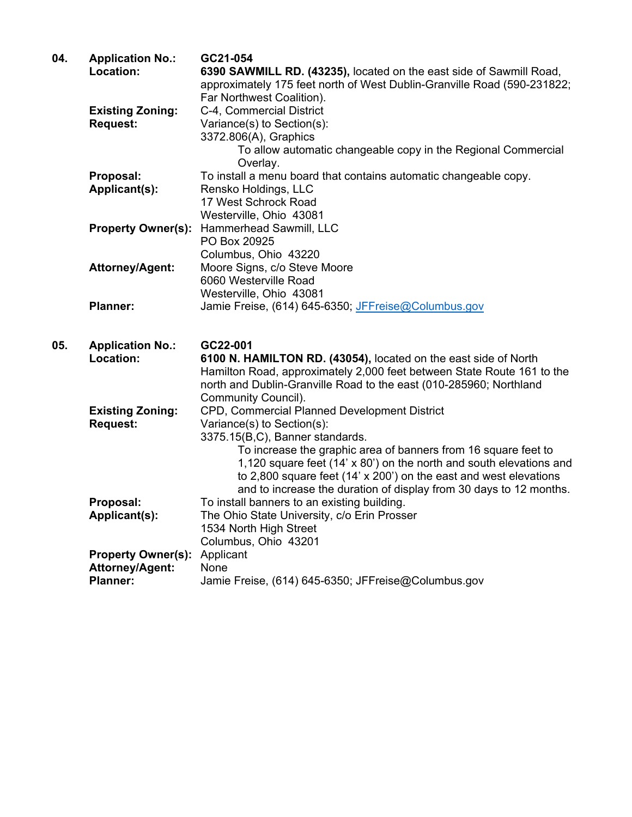| 04. | <b>Application No.:</b>            | GC21-054                                                                     |
|-----|------------------------------------|------------------------------------------------------------------------------|
|     | Location:                          | 6390 SAWMILL RD. (43235), located on the east side of Sawmill Road,          |
|     |                                    | approximately 175 feet north of West Dublin-Granville Road (590-231822;      |
|     |                                    | Far Northwest Coalition).                                                    |
|     | <b>Existing Zoning:</b>            | C-4, Commercial District                                                     |
|     | <b>Request:</b>                    | Variance(s) to Section(s):                                                   |
|     |                                    | 3372.806(A), Graphics                                                        |
|     |                                    | To allow automatic changeable copy in the Regional Commercial                |
|     | Proposal:                          | Overlay.<br>To install a menu board that contains automatic changeable copy. |
|     | Applicant(s):                      | Rensko Holdings, LLC                                                         |
|     |                                    | 17 West Schrock Road                                                         |
|     |                                    | Westerville, Ohio 43081                                                      |
|     | <b>Property Owner(s):</b>          | Hammerhead Sawmill, LLC                                                      |
|     |                                    | PO Box 20925                                                                 |
|     |                                    | Columbus, Ohio 43220                                                         |
|     | <b>Attorney/Agent:</b>             | Moore Signs, c/o Steve Moore                                                 |
|     |                                    | 6060 Westerville Road                                                        |
|     |                                    | Westerville, Ohio 43081                                                      |
|     | <b>Planner:</b>                    | Jamie Freise, (614) 645-6350; JFFreise@Columbus.gov                          |
|     |                                    |                                                                              |
| 05. | <b>Application No.:</b>            | GC22-001                                                                     |
|     | Location:                          | 6100 N. HAMILTON RD. (43054), located on the east side of North              |
|     |                                    | Hamilton Road, approximately 2,000 feet between State Route 161 to the       |
|     |                                    | north and Dublin-Granville Road to the east (010-285960; Northland           |
|     |                                    | Community Council).                                                          |
|     | <b>Existing Zoning:</b>            | CPD, Commercial Planned Development District                                 |
|     | <b>Request:</b>                    | Variance(s) to Section(s):                                                   |
|     |                                    | 3375.15(B,C), Banner standards.                                              |
|     |                                    | To increase the graphic area of banners from 16 square feet to               |
|     |                                    | 1,120 square feet (14' x 80') on the north and south elevations and          |
|     |                                    | to 2,800 square feet (14' x 200') on the east and west elevations            |
|     |                                    | and to increase the duration of display from 30 days to 12 months.           |
|     | Proposal:                          | To install banners to an existing building.                                  |
|     | Applicant(s):                      | The Ohio State University, c/o Erin Prosser                                  |
|     |                                    | 1534 North High Street                                                       |
|     |                                    | Columbus, Ohio 43201                                                         |
|     | <b>Property Owner(s):</b>          | Applicant                                                                    |
|     |                                    |                                                                              |
|     | Attorney/Agent:<br><b>Planner:</b> | None<br>Jamie Freise, (614) 645-6350; JFFreise@Columbus.gov                  |